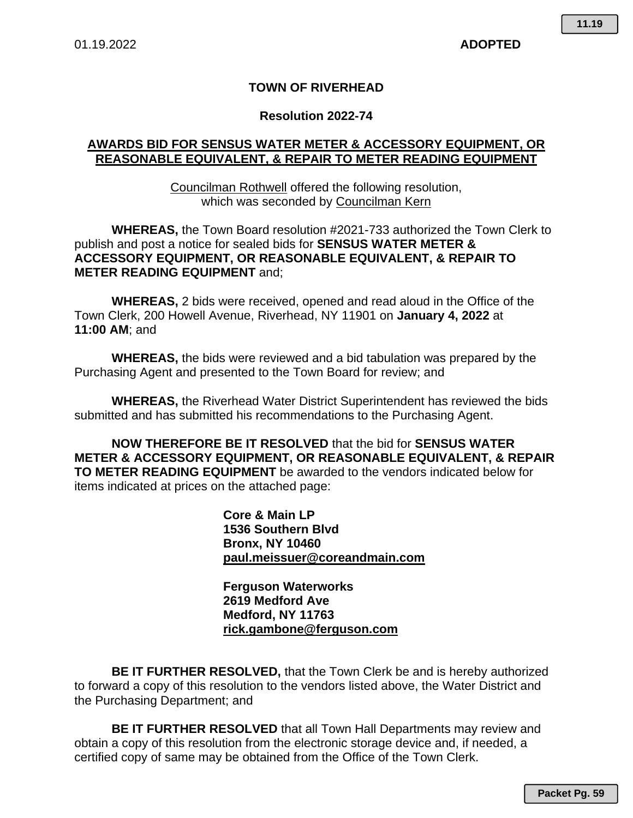#### **TOWN OF RIVERHEAD**

#### **Resolution 2022-74**

#### **AWARDS BID FOR SENSUS WATER METER & ACCESSORY EQUIPMENT, OR REASONABLE EQUIVALENT, & REPAIR TO METER READING EQUIPMENT**

Councilman Rothwell offered the following resolution, which was seconded by Councilman Kern

**WHEREAS,** the Town Board resolution #2021-733 authorized the Town Clerk to publish and post a notice for sealed bids for **SENSUS WATER METER & ACCESSORY EQUIPMENT, OR REASONABLE EQUIVALENT, & REPAIR TO METER READING EQUIPMENT** and;

**WHEREAS,** 2 bids were received, opened and read aloud in the Office of the Town Clerk, 200 Howell Avenue, Riverhead, NY 11901 on **January 4, 2022** at **11:00 AM**; and

**WHEREAS,** the bids were reviewed and a bid tabulation was prepared by the Purchasing Agent and presented to the Town Board for review; and

**WHEREAS,** the Riverhead Water District Superintendent has reviewed the bids submitted and has submitted his recommendations to the Purchasing Agent.

**NOW THEREFORE BE IT RESOLVED** that the bid for **SENSUS WATER METER & ACCESSORY EQUIPMENT, OR REASONABLE EQUIVALENT, & REPAIR TO METER READING EQUIPMENT** be awarded to the vendors indicated below for items indicated at prices on the attached page:

> **Core & Main LP 1536 Southern Blvd Bronx, NY 10460 paul.meissuer@coreandmain.com**

**Ferguson Waterworks 2619 Medford Ave Medford, NY 11763 rick.gambone@ferguson.com** 

**BE IT FURTHER RESOLVED,** that the Town Clerk be and is hereby authorized to forward a copy of this resolution to the vendors listed above, the Water District and the Purchasing Department; and

**BE IT FURTHER RESOLVED** that all Town Hall Departments may review and obtain a copy of this resolution from the electronic storage device and, if needed, a certified copy of same may be obtained from the Office of the Town Clerk.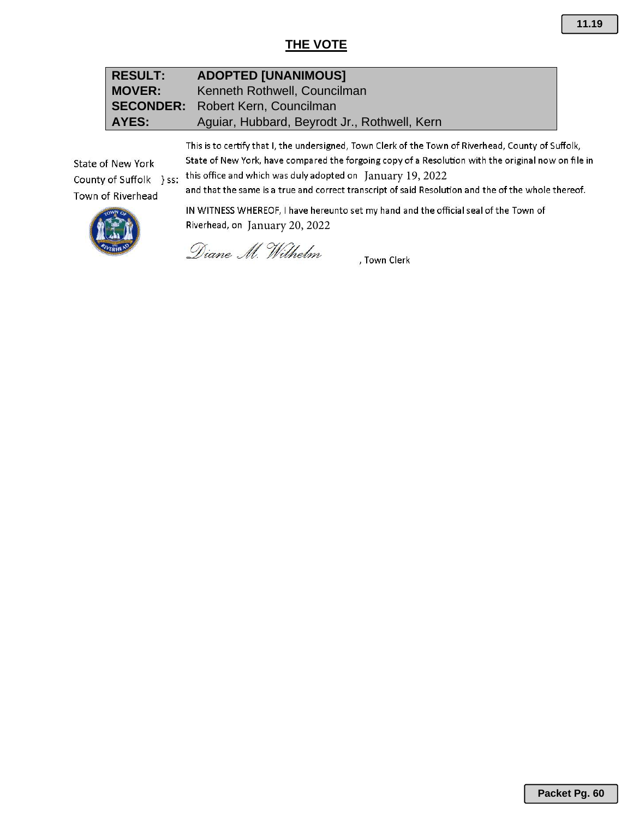## **THE VOTE**

| <b>RESULT:</b> | <b>ADOPTED [UNANIMOUS]</b>                   |
|----------------|----------------------------------------------|
| MOVER:         | Kenneth Rothwell, Councilman                 |
|                | <b>SECONDER:</b> Robert Kern, Councilman     |
| AYES:          | Aquiar, Hubbard, Beyrodt Jr., Rothwell, Kern |

This is to certify that I, the undersigned, Town Clerk of the Town of Riverhead, County of Suffolk, State of New York, have compared the forgoing copy of a Resolution with the original now on file in

this office and which was duly adopted on  $January$   $19, 2022$ <br>and that the same is a true and correct transcript of said Resolution and the of the whole thereof. County of Suffolk } ss:



State of New York

Town of Riverhead

IN WITNESS WHEREOF, I have hereunto set my hand and the official seal of the Town of Riverhead, on January 20, 2022

Diane M. Wilhelm

, Town Clerk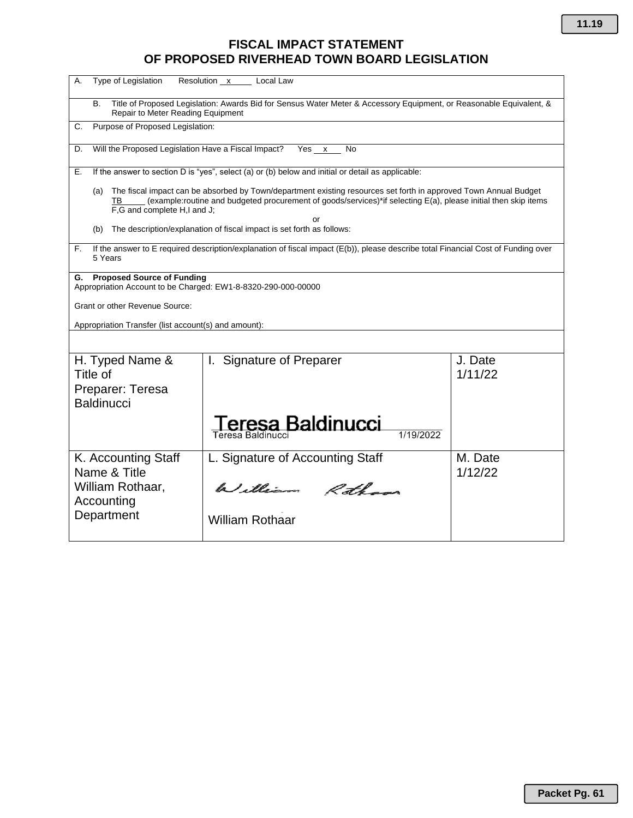# **FISCAL IMPACT STATEMENT OF PROPOSED RIVERHEAD TOWN BOARD LEGISLATION**

| Resolution x Local Law<br>Type of Legislation<br>А.                                                                                                            |                                                                                                                                                                                                                                          |                    |  |  |  |  |  |
|----------------------------------------------------------------------------------------------------------------------------------------------------------------|------------------------------------------------------------------------------------------------------------------------------------------------------------------------------------------------------------------------------------------|--------------------|--|--|--|--|--|
| Title of Proposed Legislation: Awards Bid for Sensus Water Meter & Accessory Equipment, or Reasonable Equivalent, &<br>В.<br>Repair to Meter Reading Equipment |                                                                                                                                                                                                                                          |                    |  |  |  |  |  |
| C.                                                                                                                                                             | Purpose of Proposed Legislation:                                                                                                                                                                                                         |                    |  |  |  |  |  |
| Will the Proposed Legislation Have a Fiscal Impact?<br>D.                                                                                                      | Yes $x$ No                                                                                                                                                                                                                               |                    |  |  |  |  |  |
| Е.                                                                                                                                                             | If the answer to section D is "yes", select (a) or (b) below and initial or detail as applicable:                                                                                                                                        |                    |  |  |  |  |  |
| (a)<br>ΤВ<br>F,G and complete H,I and J;                                                                                                                       | The fiscal impact can be absorbed by Town/department existing resources set forth in approved Town Annual Budget<br>(example:routine and budgeted procurement of goods/services)*if selecting E(a), please initial then skip items<br>or |                    |  |  |  |  |  |
| (b)                                                                                                                                                            | The description/explanation of fiscal impact is set forth as follows:                                                                                                                                                                    |                    |  |  |  |  |  |
| F.<br>5 Years                                                                                                                                                  | If the answer to E required description/explanation of fiscal impact (E(b)), please describe total Financial Cost of Funding over                                                                                                        |                    |  |  |  |  |  |
| <b>Proposed Source of Funding</b><br>G.<br>Appropriation Account to be Charged: EW1-8-8320-290-000-00000                                                       |                                                                                                                                                                                                                                          |                    |  |  |  |  |  |
| Grant or other Revenue Source:                                                                                                                                 |                                                                                                                                                                                                                                          |                    |  |  |  |  |  |
| Appropriation Transfer (list account(s) and amount):                                                                                                           |                                                                                                                                                                                                                                          |                    |  |  |  |  |  |
|                                                                                                                                                                |                                                                                                                                                                                                                                          |                    |  |  |  |  |  |
| H. Typed Name &<br>Title of                                                                                                                                    | I. Signature of Preparer                                                                                                                                                                                                                 | J. Date<br>1/11/22 |  |  |  |  |  |
| Preparer: Teresa                                                                                                                                               |                                                                                                                                                                                                                                          |                    |  |  |  |  |  |
| <b>Baldinucci</b>                                                                                                                                              |                                                                                                                                                                                                                                          |                    |  |  |  |  |  |
|                                                                                                                                                                | eresa Baldinucci<br>1/19/2022<br>Teresa Baldinucci                                                                                                                                                                                       |                    |  |  |  |  |  |
| K. Accounting Staff                                                                                                                                            | L. Signature of Accounting Staff                                                                                                                                                                                                         | M. Date            |  |  |  |  |  |
| Name & Title<br>William Rothaar,<br>Accounting                                                                                                                 | William Rothans                                                                                                                                                                                                                          | 1/12/22            |  |  |  |  |  |
| Department                                                                                                                                                     | <b>William Rothaar</b>                                                                                                                                                                                                                   |                    |  |  |  |  |  |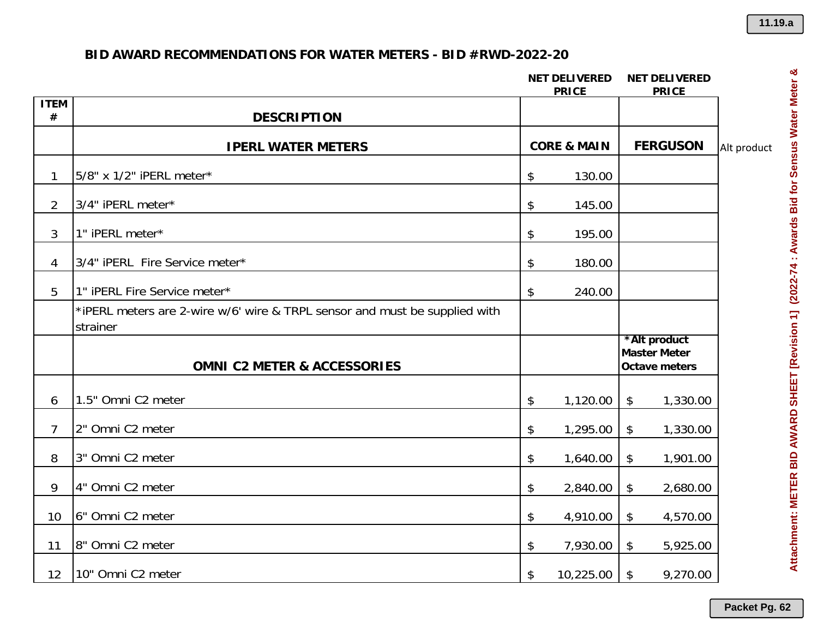|                  |                                                                                        |    | <b>NET DELIVERED</b><br><b>PRICE</b> | <b>NET DELIVERED</b><br><b>PRICE</b>                        |             |
|------------------|----------------------------------------------------------------------------------------|----|--------------------------------------|-------------------------------------------------------------|-------------|
| <b>ITEM</b><br># | <b>DESCRIPTION</b>                                                                     |    |                                      |                                                             |             |
|                  | <b>IPERL WATER METERS</b>                                                              |    | <b>CORE &amp; MAIN</b>               | <b>FERGUSON</b>                                             | Alt product |
| $\mathbf{1}$     | 5/8" x 1/2" iPERL meter*                                                               | \$ | 130.00                               |                                                             |             |
| $\overline{2}$   | 3/4" iPERL meter*                                                                      | \$ | 145.00                               |                                                             |             |
| 3                | 1" iPERL meter*                                                                        | \$ | 195.00                               |                                                             |             |
| 4                | 3/4" iPERL Fire Service meter*                                                         | \$ | 180.00                               |                                                             |             |
| 5                | 1" iPERL Fire Service meter*                                                           | \$ | 240.00                               |                                                             |             |
|                  | *iPERL meters are 2-wire w/6' wire & TRPL sensor and must be supplied with<br>strainer |    |                                      |                                                             |             |
|                  | <b>OMNI C2 METER &amp; ACCESSORIES</b>                                                 |    |                                      | *Alt product<br><b>Master Meter</b><br><b>Octave meters</b> |             |
| 6                | 1.5" Omni C2 meter                                                                     | \$ | 1,120.00                             | $\boldsymbol{\mathsf{\$}}$<br>1,330.00                      |             |
| $\overline{7}$   | 2" Omni C2 meter                                                                       | \$ | 1,295.00                             | $\frac{1}{2}$<br>1,330.00                                   |             |
| 8                | 3" Omni C2 meter                                                                       | \$ | 1,640.00                             | $\frac{1}{2}$<br>1,901.00                                   |             |
| 9                | 4" Omni C2 meter                                                                       | \$ | 2,840.00                             | \$<br>2,680.00                                              |             |
| 10               | 6" Omni C <sub>2</sub> meter                                                           | \$ | 4,910.00                             | $\boldsymbol{\boldsymbol{\mathsf{S}}}$<br>4,570.00          |             |
| 11               | 8" Omni C2 meter                                                                       | \$ | 7,930.00                             | \$<br>5,925.00                                              |             |
| 12               |                                                                                        |    |                                      | 9,270.00                                                    |             |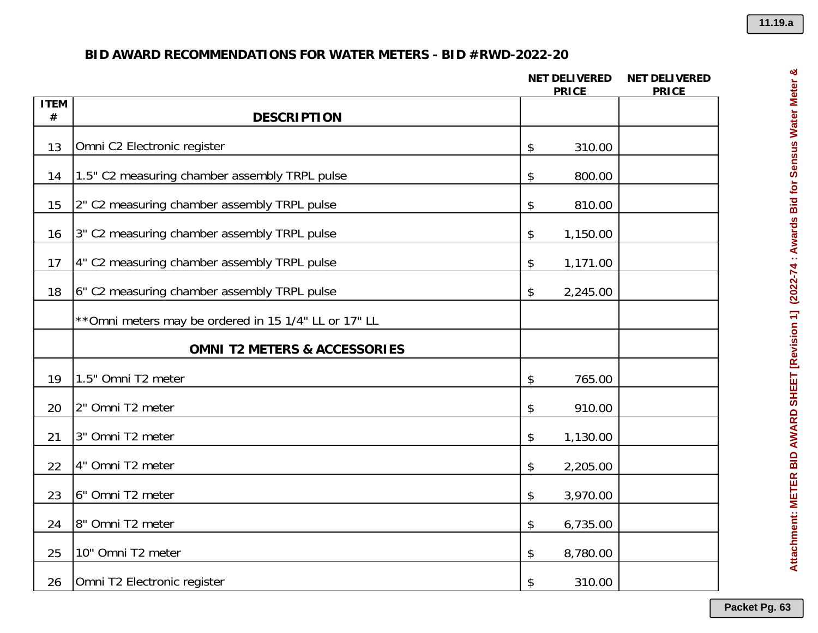|                  |                                                       | <b>NET DELIVERED</b><br><b>PRICE</b>                | <b>NET DELIVERED</b><br><b>PRICE</b> |
|------------------|-------------------------------------------------------|-----------------------------------------------------|--------------------------------------|
| <b>ITEM</b><br># | <b>DESCRIPTION</b>                                    |                                                     |                                      |
| 13               | Omni C2 Electronic register                           | 310.00<br>$\boldsymbol{\hat{\phi}}$                 |                                      |
| 14               | 1.5" C2 measuring chamber assembly TRPL pulse         | 800.00<br>$\boldsymbol{\hat{\phi}}$                 |                                      |
| 15               | 2" C2 measuring chamber assembly TRPL pulse           | $\boldsymbol{\boldsymbol{\mathsf{\$}}}$<br>810.00   |                                      |
| 16               | 3" C2 measuring chamber assembly TRPL pulse           | $\boldsymbol{\boldsymbol{\mathsf{\$}}}$<br>1,150.00 |                                      |
| 17               | 4" C2 measuring chamber assembly TRPL pulse           | \$<br>1,171.00                                      |                                      |
| 18               | 6" C2 measuring chamber assembly TRPL pulse           | 2,245.00<br>\$                                      |                                      |
|                  | ** Omni meters may be ordered in 15 1/4" LL or 17" LL |                                                     |                                      |
|                  | <b>OMNI T2 METERS &amp; ACCESSORIES</b>               |                                                     |                                      |
| 19               | 1.5" Omni T2 meter                                    | 765.00<br>$\boldsymbol{\hat{\phi}}$                 |                                      |
| 20               | 2" Omni T2 meter                                      | 910.00<br>$\boldsymbol{\hat{\theta}}$               |                                      |
| 21               | 3" Omni T2 meter                                      | 1,130.00<br>\$                                      |                                      |
| 22               | 4" Omni T2 meter                                      | $\boldsymbol{\boldsymbol{\mathsf{S}}}$<br>2,205.00  |                                      |
| 23               | 6" Omni T2 meter                                      | 3,970.00<br>\$                                      |                                      |
| 24               | 8" Omni T2 meter                                      | 6,735.00<br>\$                                      |                                      |
| 25               | 10" Omni T2 meter                                     | 8,780.00<br>\$                                      |                                      |
| 26               | Omni T2 Electronic register                           | 310.00<br>\$                                        |                                      |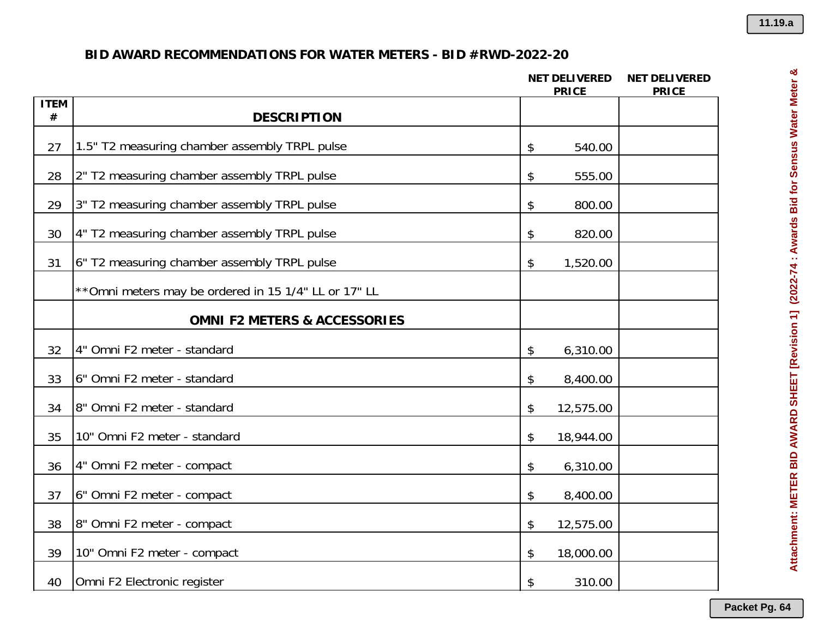|                  |                                                       | <b>NET DELIVERED</b><br><b>PRICE</b> | <b>NET DELIVERED</b><br><b>PRICE</b> |
|------------------|-------------------------------------------------------|--------------------------------------|--------------------------------------|
| <b>ITEM</b><br># | <b>DESCRIPTION</b>                                    |                                      |                                      |
| 27               | 1.5" T2 measuring chamber assembly TRPL pulse         | 540.00<br>\$                         |                                      |
| 28               | 2" T2 measuring chamber assembly TRPL pulse           | \$<br>555.00                         |                                      |
| 29               | 3" T2 measuring chamber assembly TRPL pulse           | \$<br>800.00                         |                                      |
| 30               | 4" T2 measuring chamber assembly TRPL pulse           | \$<br>820.00                         |                                      |
| 31               | 6" T2 measuring chamber assembly TRPL pulse           | \$<br>1,520.00                       |                                      |
|                  | ** Omni meters may be ordered in 15 1/4" LL or 17" LL |                                      |                                      |
|                  | <b>OMNI F2 METERS &amp; ACCESSORIES</b>               |                                      |                                      |
| 32               | 4" Omni F2 meter - standard                           | 6,310.00<br>\$                       |                                      |
| 33               | 6" Omni F2 meter - standard                           | 8,400.00<br>\$                       |                                      |
| 34               | 8" Omni F2 meter - standard                           | 12,575.00<br>\$                      |                                      |
| 35               | 10" Omni F2 meter - standard                          | \$<br>18,944.00                      |                                      |
| 36               | 4" Omni F2 meter - compact                            | 6,310.00<br>\$                       |                                      |
| 37               | 6" Omni F2 meter - compact                            | \$<br>8,400.00                       |                                      |
| 38               | 8" Omni F2 meter - compact                            | \$<br>12,575.00                      |                                      |
| 39               | 10" Omni F2 meter - compact                           | 18,000.00<br>\$                      |                                      |
| 40               | Omni F2 Electronic register                           | 310.00<br>\$                         |                                      |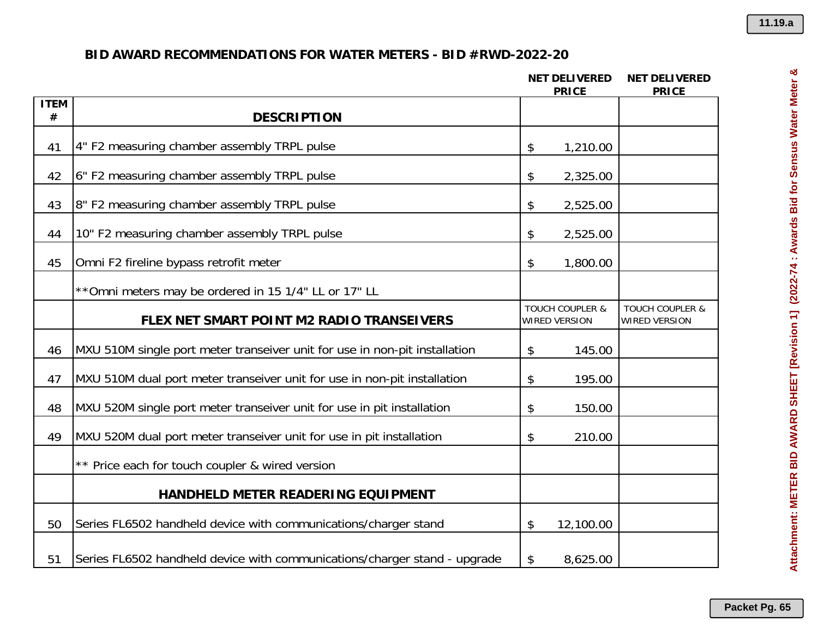|                     |                                                                            | <b>NET DELIVERED</b><br><b>PRICE</b>               |           | <b>NET DELIVERED</b><br><b>PRICE</b>               |
|---------------------|----------------------------------------------------------------------------|----------------------------------------------------|-----------|----------------------------------------------------|
| <b>ITEM</b><br>$\#$ | <b>DESCRIPTION</b>                                                         |                                                    |           |                                                    |
| 41                  | 4" F2 measuring chamber assembly TRPL pulse                                | \$                                                 | 1,210.00  |                                                    |
| 42                  | 6" F2 measuring chamber assembly TRPL pulse                                | \$                                                 | 2,325.00  |                                                    |
| 43                  | 8" F2 measuring chamber assembly TRPL pulse                                | \$                                                 | 2,525.00  |                                                    |
| 44                  | 10" F2 measuring chamber assembly TRPL pulse                               | \$                                                 | 2,525.00  |                                                    |
| 45                  | Omni F2 fireline bypass retrofit meter                                     | \$                                                 | 1,800.00  |                                                    |
|                     | ** Omni meters may be ordered in 15 1/4" LL or 17" LL                      |                                                    |           |                                                    |
|                     | FLEX NET SMART POINT M2 RADIO TRANSEIVERS                                  | <b>TOUCH COUPLER &amp;</b><br><b>WIRED VERSION</b> |           | <b>TOUCH COUPLER &amp;</b><br><b>WIRED VERSION</b> |
| 46                  | MXU 510M single port meter transeiver unit for use in non-pit installation | \$                                                 | 145.00    |                                                    |
| 47                  | MXU 510M dual port meter transeiver unit for use in non-pit installation   | \$                                                 | 195.00    |                                                    |
| 48                  | MXU 520M single port meter transeiver unit for use in pit installation     | \$                                                 | 150.00    |                                                    |
| 49                  | MXU 520M dual port meter transeiver unit for use in pit installation       | \$                                                 | 210.00    |                                                    |
|                     | ** Price each for touch coupler & wired version                            |                                                    |           |                                                    |
|                     | HANDHELD METER READERING EQUIPMENT                                         |                                                    |           |                                                    |
| 50                  | Series FL6502 handheld device with communications/charger stand            | \$                                                 | 12,100.00 |                                                    |
| 51                  | Series FL6502 handheld device with communications/charger stand - upgrade  | \$                                                 | 8,625.00  |                                                    |